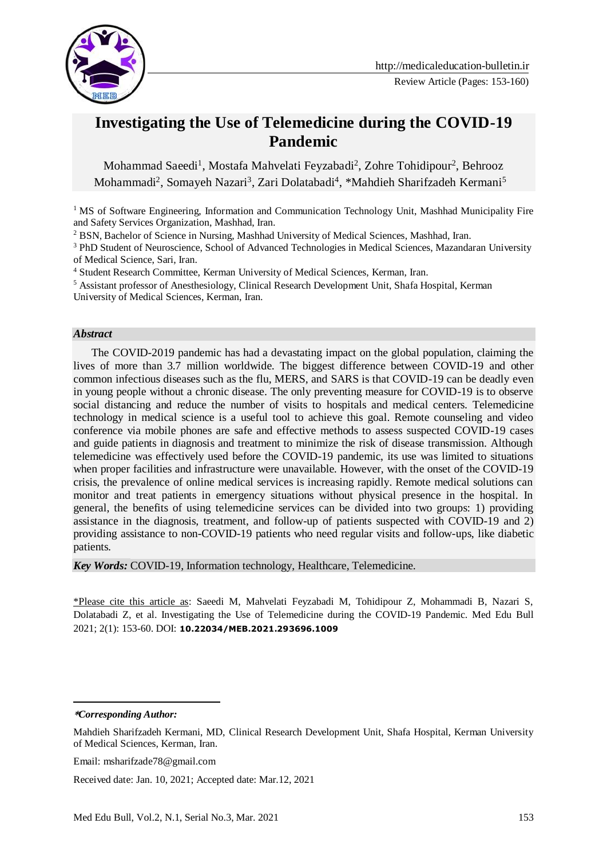

# **Investigating the Use of Telemedicine during the COVID-19 Pandemic**

Mohammad Saeedi<sup>1</sup>, Mostafa Mahvelati Feyzabadi<sup>2</sup>, Zohre Tohidipour<sup>2</sup>, Behrooz Mohammadi<sup>2</sup>, Somayeh Nazari<sup>3</sup>, Zari Dolatabadi<sup>4</sup>, \*Mahdieh Sharifzadeh Kermani<sup>5</sup>

<sup>1</sup> MS of Software Engineering, Information and Communication Technology Unit, Mashhad Municipality Fire and Safety Services Organization, Mashhad, Iran.

<sup>2</sup> BSN, Bachelor of Science in Nursing, Mashhad University of Medical Sciences, Mashhad, Iran.

<sup>3</sup> PhD Student of Neuroscience, School of Advanced Technologies in Medical Sciences, Mazandaran University of Medical Science, Sari, Iran.

<sup>4</sup> Student Research Committee, Kerman University of Medical Sciences, Kerman, Iran.

<sup>5</sup> Assistant professor of Anesthesiology, Clinical Research Development Unit, Shafa Hospital, Kerman University of Medical Sciences, Kerman, Iran.

#### *Abstract*

 The COVID-2019 pandemic has had a devastating impact on the global population, claiming the lives of more than 3.7 million worldwide. The biggest difference between COVID-19 and other common infectious diseases such as the flu, MERS, and SARS is that COVID-19 can be deadly even in young people without a chronic disease. The only preventing measure for COVID-19 is to observe social distancing and reduce the number of visits to hospitals and medical centers. Telemedicine technology in medical science is a useful tool to achieve this goal. Remote counseling and video conference via mobile phones are safe and effective methods to assess suspected COVID-19 cases and guide patients in diagnosis and treatment to minimize the risk of disease transmission. Although telemedicine was effectively used before the COVID-19 pandemic, its use was limited to situations when proper facilities and infrastructure were unavailable. However, with the onset of the COVID-19 crisis, the prevalence of online medical services is increasing rapidly. Remote medical solutions can monitor and treat patients in emergency situations without physical presence in the hospital. In general, the benefits of using telemedicine services can be divided into two groups: 1) providing assistance in the diagnosis, treatment, and follow-up of patients suspected with COVID-19 and 2) providing assistance to non-COVID-19 patients who need regular visits and follow-ups, like diabetic patients.

*Key Words:* COVID-19, Information technology, Healthcare, Telemedicine.

\*Please cite this article as: Saeedi M, Mahvelati Feyzabadi M, Tohidipour Z, Mohammadi B, Nazari S, Dolatabadi Z, et al. Investigating the Use of Telemedicine during the COVID-19 Pandemic. Med Edu Bull 2021; 2(1): 153-60. DOI: **10.22034/MEB.2021.293696.1009**

<u>.</u>

Received date: Jan. 10, 2021; Accepted date: Mar.12, 2021

**<sup>\*</sup>***Corresponding Author:*

Mahdieh Sharifzadeh Kermani, MD, Clinical Research Development Unit, Shafa Hospital, Kerman University of Medical Sciences, Kerman, Iran.

Email: msharifzade78@gmail.com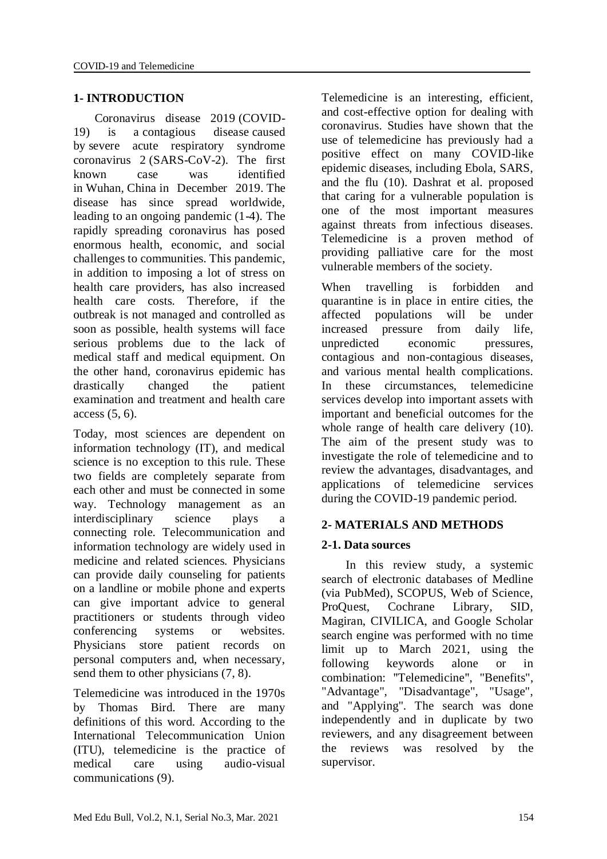## **1- INTRODUCTION**

 Coronavirus disease 2019 (COVID-19) is a contagious disease caused by severe acute respiratory syndrome coronavirus 2 (SARS-CoV-2). The first known case was identified in Wuhan, China in December 2019. The disease has since spread worldwide, leading to an ongoing pandemic (1-4). The rapidly spreading coronavirus has posed enormous health, economic, and social challenges to communities. This pandemic, in addition to imposing a lot of stress on health care providers, has also increased health care costs. Therefore, if the outbreak is not managed and controlled as soon as possible, health systems will face serious problems due to the lack of medical staff and medical equipment. On the other hand, coronavirus epidemic has drastically changed the patient examination and treatment and health care access (5, 6).

Today, most sciences are dependent on information technology (IT), and medical science is no exception to this rule. These two fields are completely separate from each other and must be connected in some way. Technology management as an interdisciplinary science plays a connecting role. Telecommunication and information technology are widely used in medicine and related sciences. Physicians can provide daily counseling for patients on a landline or mobile phone and experts can give important advice to general practitioners or students through video conferencing systems or websites. Physicians store patient records on personal computers and, when necessary, send them to other physicians (7, 8).

Telemedicine was introduced in the 1970s by Thomas Bird. There are many definitions of this word. According to the International Telecommunication Union (ITU), telemedicine is the practice of medical care using audio-visual communications (9).

Telemedicine is an interesting, efficient, and cost-effective option for dealing with coronavirus. Studies have shown that the use of telemedicine has previously had a positive effect on many COVID-like epidemic diseases, including Ebola, SARS, and the flu (10). Dashrat et al. proposed that caring for a vulnerable population is one of the most important measures against threats from infectious diseases. Telemedicine is a proven method of providing palliative care for the most vulnerable members of the society.

When travelling is forbidden and quarantine is in place in entire cities, the affected populations will be under increased pressure from daily life, unpredicted economic pressures, contagious and non-contagious diseases, and various mental health complications. In these circumstances, telemedicine services develop into important assets with important and beneficial outcomes for the whole range of health care delivery (10). The aim of the present study was to investigate the role of telemedicine and to review the advantages, disadvantages, and applications of telemedicine services during the COVID-19 pandemic period.

### **2- MATERIALS AND METHODS**

### **2-1. Data sources**

 In this review study, a systemic search of electronic databases of Medline (via PubMed), SCOPUS, Web of Science, ProQuest, Cochrane Library, SID, Magiran, CIVILICA, and Google Scholar search engine was performed with no time limit up to March 2021, using the following keywords alone or in combination: "Telemedicine", "Benefits", "Advantage", "Disadvantage", "Usage", and "Applying". The search was done independently and in duplicate by two reviewers, and any disagreement between the reviews was resolved by the supervisor.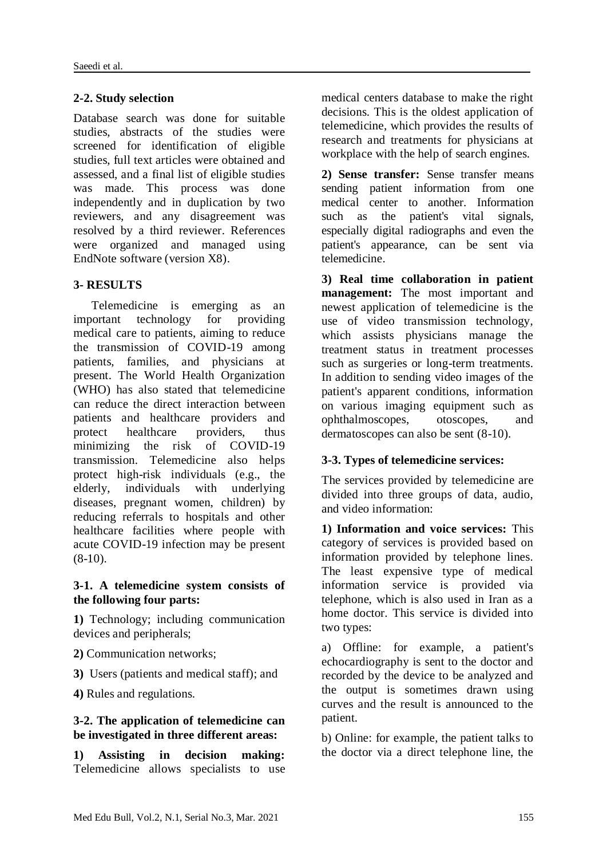### **2-2. Study selection**

Database search was done for suitable studies, abstracts of the studies were screened for identification of eligible studies, full text articles were obtained and assessed, and a final list of eligible studies was made. This process was done independently and in duplication by two reviewers, and any disagreement was resolved by a third reviewer. References were organized and managed using EndNote software (version X8).

### **3- RESULTS**

 Telemedicine is emerging as an important technology for providing medical care to patients, aiming to reduce the transmission of COVID-19 among patients, families, and physicians at present. The World Health Organization (WHO) has also stated that telemedicine can reduce the direct interaction between patients and healthcare providers and protect healthcare providers, thus minimizing the risk of COVID-19 transmission. Telemedicine also helps protect high-risk individuals (e.g., the elderly, individuals with underlying diseases, pregnant women, children) by reducing referrals to hospitals and other healthcare facilities where people with acute COVID-19 infection may be present  $(8-10)$ .

#### **3-1. A telemedicine system consists of the following four parts:**

**1)** Technology; including communication devices and peripherals;

- **2)** Communication networks;
- **3)** Users (patients and medical staff); and
- **4)** Rules and regulations.

#### **3-2. The application of telemedicine can be investigated in three different areas:**

**1) Assisting in decision making:** Telemedicine allows specialists to use medical centers database to make the right decisions. This is the oldest application of telemedicine, which provides the results of research and treatments for physicians at workplace with the help of search engines.

**2) Sense transfer:** Sense transfer means sending patient information from one medical center to another. Information such as the patient's vital signals, especially digital radiographs and even the patient's appearance, can be sent via telemedicine.

**3) Real time collaboration in patient management:** The most important and newest application of telemedicine is the use of video transmission technology, which assists physicians manage the treatment status in treatment processes such as surgeries or long-term treatments. In addition to sending video images of the patient's apparent conditions, information on various imaging equipment such as ophthalmoscopes, otoscopes, and dermatoscopes can also be sent (8-10).

#### **3-3. Types of telemedicine services:**

The services provided by telemedicine are divided into three groups of data, audio, and video information:

**1) Information and voice services:** This category of services is provided based on information provided by telephone lines. The least expensive type of medical information service is provided via telephone, which is also used in Iran as a home doctor. This service is divided into two types:

a) Offline: for example, a patient's echocardiography is sent to the doctor and recorded by the device to be analyzed and the output is sometimes drawn using curves and the result is announced to the patient.

b) Online: for example, the patient talks to the doctor via a direct telephone line, the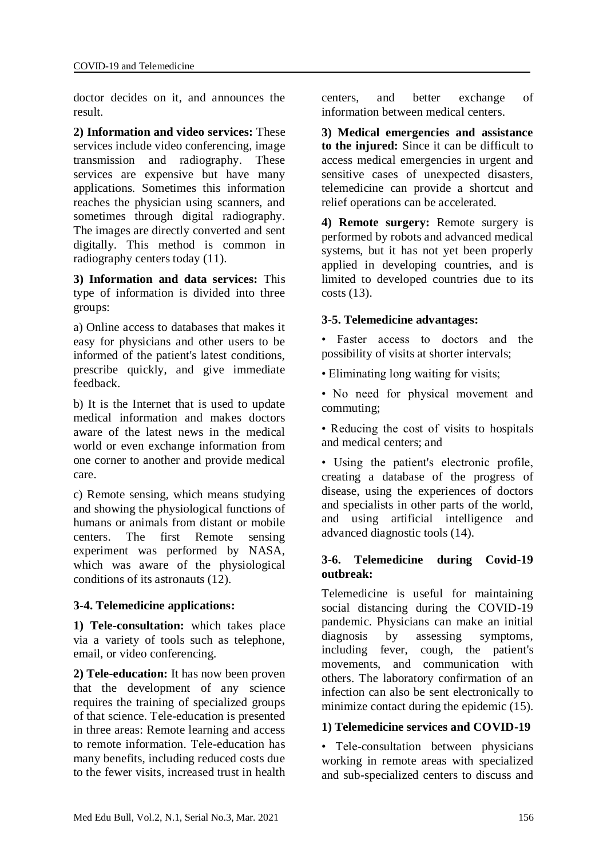doctor decides on it, and announces the result.

**2) Information and video services:** These services include video conferencing, image transmission and radiography. These services are expensive but have many applications. Sometimes this information reaches the physician using scanners, and sometimes through digital radiography. The images are directly converted and sent digitally. This method is common in radiography centers today (11).

**3) Information and data services:** This type of information is divided into three groups:

a) Online access to databases that makes it easy for physicians and other users to be informed of the patient's latest conditions, prescribe quickly, and give immediate feedback.

b) It is the Internet that is used to update medical information and makes doctors aware of the latest news in the medical world or even exchange information from one corner to another and provide medical care.

c) Remote sensing, which means studying and showing the physiological functions of humans or animals from distant or mobile centers. The first Remote sensing experiment was performed by NASA, which was aware of the physiological conditions of its astronauts (12).

# **3-4. Telemedicine applications:**

**1) Tele-consultation:** which takes place via a variety of tools such as telephone, email, or video conferencing.

**2) Tele-education:** It has now been proven that the development of any science requires the training of specialized groups of that science. Tele-education is presented in three areas: Remote learning and access to remote information. Tele-education has many benefits, including reduced costs due to the fewer visits, increased trust in health centers, and better exchange of information between medical centers.

**3) Medical emergencies and assistance to the injured:** Since it can be difficult to access medical emergencies in urgent and sensitive cases of unexpected disasters, telemedicine can provide a shortcut and relief operations can be accelerated.

**4) Remote surgery:** Remote surgery is performed by robots and advanced medical systems, but it has not yet been properly applied in developing countries, and is limited to developed countries due to its costs (13).

## **3-5. Telemedicine advantages:**

• Faster access to doctors and the possibility of visits at shorter intervals;

• Eliminating long waiting for visits;

• No need for physical movement and commuting;

• Reducing the cost of visits to hospitals and medical centers; and

• Using the patient's electronic profile, creating a database of the progress of disease, using the experiences of doctors and specialists in other parts of the world, and using artificial intelligence and advanced diagnostic tools (14).

### **3-6. Telemedicine during Covid-19 outbreak:**

Telemedicine is useful for maintaining social distancing during the COVID-19 pandemic. Physicians can make an initial diagnosis by assessing symptoms, including fever, cough, the patient's movements, and communication with others. The laboratory confirmation of an infection can also be sent electronically to minimize contact during the epidemic (15).

# **1) Telemedicine services and COVID-19**

• Tele-consultation between physicians working in remote areas with specialized and sub-specialized centers to discuss and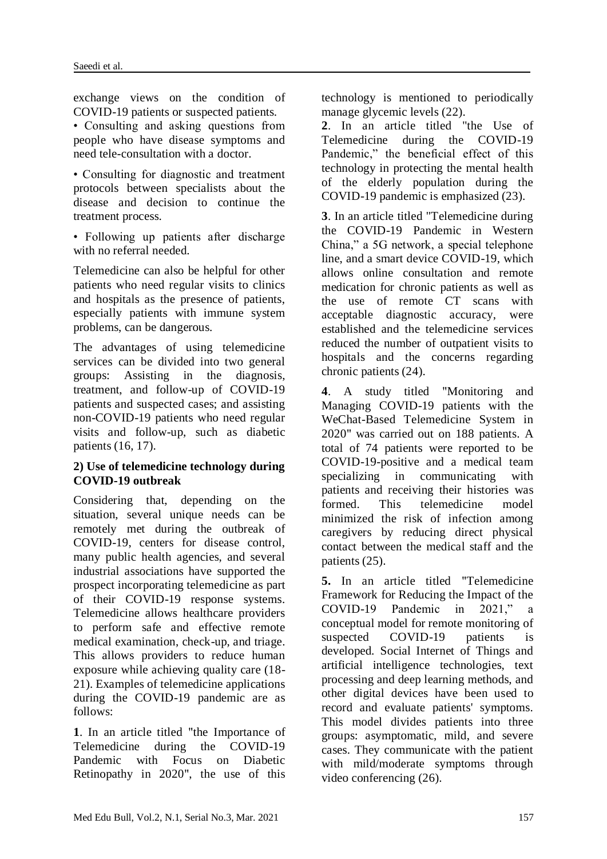exchange views on the condition of COVID-19 patients or suspected patients.

• Consulting and asking questions from people who have disease symptoms and need tele-consultation with a doctor.

• Consulting for diagnostic and treatment protocols between specialists about the disease and decision to continue the treatment process.

• Following up patients after discharge with no referral needed.

Telemedicine can also be helpful for other patients who need regular visits to clinics and hospitals as the presence of patients, especially patients with immune system problems, can be dangerous.

The advantages of using telemedicine services can be divided into two general groups: Assisting in the diagnosis, treatment, and follow-up of COVID-19 patients and suspected cases; and assisting non-COVID-19 patients who need regular visits and follow-up, such as diabetic patients (16, 17).

### **2) Use of telemedicine technology during COVID-19 outbreak**

Considering that, depending on the situation, several unique needs can be remotely met during the outbreak of COVID-19, centers for disease control, many public health agencies, and several industrial associations have supported the prospect incorporating telemedicine as part of their COVID-19 response systems. Telemedicine allows healthcare providers to perform safe and effective remote medical examination, check-up, and triage. This allows providers to reduce human exposure while achieving quality care (18- 21). Examples of telemedicine applications during the COVID-19 pandemic are as follows:

**1**. In an article titled "the Importance of Telemedicine during the COVID-19 Pandemic with Focus on Diabetic Retinopathy in 2020", the use of this technology is mentioned to periodically manage glycemic levels (22).

**2**. In an article titled "the Use of Telemedicine during the COVID-19 Pandemic," the beneficial effect of this technology in protecting the mental health of the elderly population during the COVID-19 pandemic is emphasized (23).

**3**. In an article titled "Telemedicine during the COVID-19 Pandemic in Western China," a 5G network, a special telephone line, and a smart device COVID-19, which allows online consultation and remote medication for chronic patients as well as the use of remote CT scans with acceptable diagnostic accuracy, were established and the telemedicine services reduced the number of outpatient visits to hospitals and the concerns regarding chronic patients (24).

**4**. A study titled "Monitoring and Managing COVID-19 patients with the WeChat-Based Telemedicine System in 2020" was carried out on 188 patients. A total of 74 patients were reported to be COVID-19-positive and a medical team specializing in communicating with patients and receiving their histories was formed. This telemedicine model minimized the risk of infection among caregivers by reducing direct physical contact between the medical staff and the patients (25).

**5.** In an article titled "Telemedicine Framework for Reducing the Impact of the COVID-19 Pandemic in 2021," a conceptual model for remote monitoring of suspected COVID-19 patients is developed. Social Internet of Things and artificial intelligence technologies, text processing and deep learning methods, and other digital devices have been used to record and evaluate patients' symptoms. This model divides patients into three groups: asymptomatic, mild, and severe cases. They communicate with the patient with mild/moderate symptoms through video conferencing (26).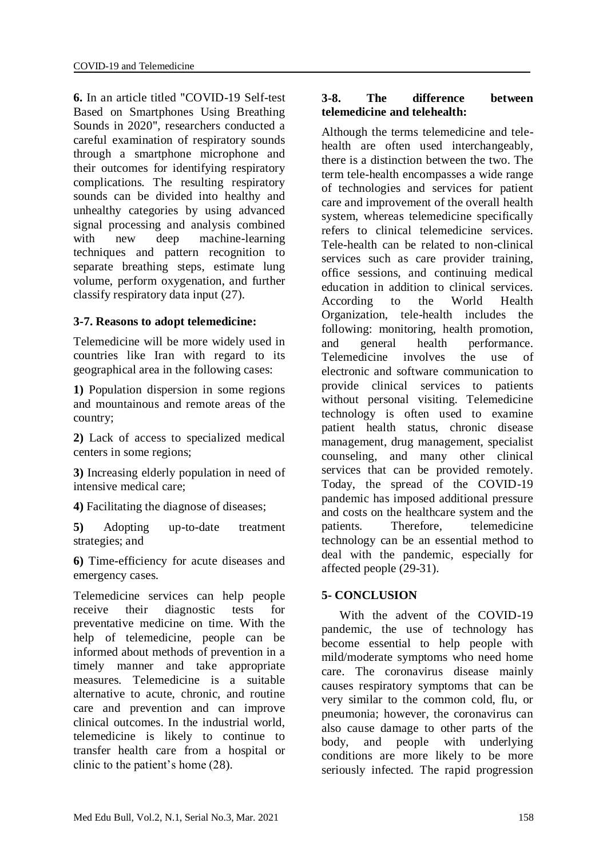**6.** In an article titled "COVID-19 Self-test Based on Smartphones Using Breathing Sounds in 2020", researchers conducted a careful examination of respiratory sounds through a smartphone microphone and their outcomes for identifying respiratory complications. The resulting respiratory sounds can be divided into healthy and unhealthy categories by using advanced signal processing and analysis combined with new deep machine-learning techniques and pattern recognition to separate breathing steps, estimate lung volume, perform oxygenation, and further classify respiratory data input (27).

#### **3-7. Reasons to adopt telemedicine:**

Telemedicine will be more widely used in countries like Iran with regard to its geographical area in the following cases:

**1)** Population dispersion in some regions and mountainous and remote areas of the country;

**2)** Lack of access to specialized medical centers in some regions;

**3)** Increasing elderly population in need of intensive medical care;

**4)** Facilitating the diagnose of diseases;

**5)** Adopting up-to-date treatment strategies; and

**6)** Time-efficiency for acute diseases and emergency cases.

Telemedicine services can help people receive their diagnostic tests for preventative medicine on time. With the help of telemedicine, people can be informed about methods of prevention in a timely manner and take appropriate measures. Telemedicine is a suitable alternative to acute, chronic, and routine care and prevention and can improve clinical outcomes. In the industrial world, telemedicine is likely to continue to transfer health care from a hospital or clinic to the patient's home (28).

### **3-8. The difference between telemedicine and telehealth:**

Although the terms telemedicine and telehealth are often used interchangeably, there is a distinction between the two. The term tele-health encompasses a wide range of technologies and services for patient care and improvement of the overall health system, whereas telemedicine specifically refers to clinical telemedicine services. Tele-health can be related to non-clinical services such as care provider training, office sessions, and continuing medical education in addition to clinical services. According to the World Health Organization, tele-health includes the following: monitoring, health promotion, and general health performance. Telemedicine involves the use of electronic and software communication to provide clinical services to patients without personal visiting. Telemedicine technology is often used to examine patient health status, chronic disease management, drug management, specialist counseling, and many other clinical services that can be provided remotely. Today, the spread of the COVID-19 pandemic has imposed additional pressure and costs on the healthcare system and the patients. Therefore, telemedicine technology can be an essential method to deal with the pandemic, especially for affected people (29-31).

#### **5- CONCLUSION**

 With the advent of the COVID-19 pandemic, the use of technology has become essential to help people with mild/moderate symptoms who need home care. The coronavirus disease mainly causes respiratory symptoms that can be very similar to the common cold, flu, or pneumonia; however, the coronavirus can also cause damage to other parts of the body, and people with underlying conditions are more likely to be more seriously infected. The rapid progression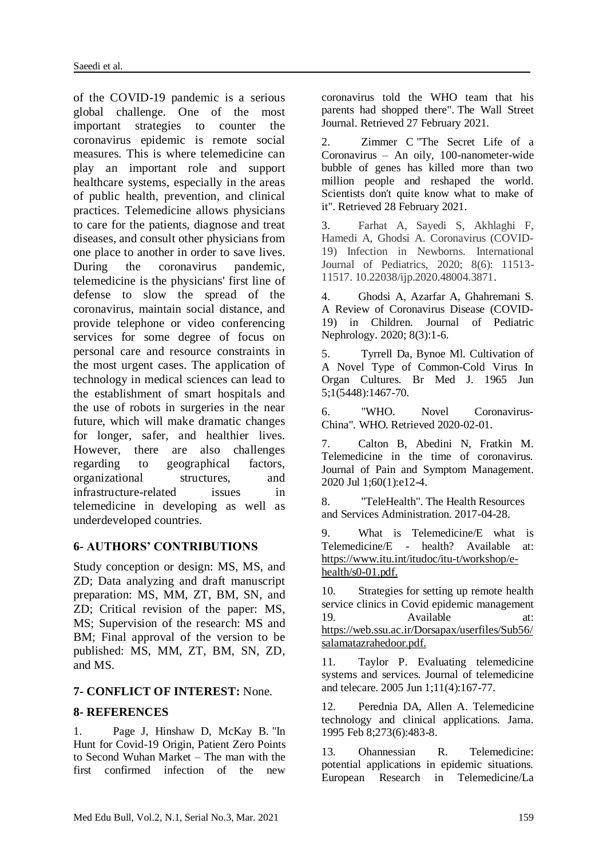of the COVID-19 pandemic is a serious global challenge. One of the most important strategies to counter the coronavirus epidemic is remote social measures. This is where telemedicine can play an important role and support healthcare systems, especially in the areas of public health, prevention, and clinical practices. Telemedicine allows physicians to care for the patients, diagnose and treat diseases, and consult other physicians from one place to another in order to save lives.<br>During the coronavirus pandemic. During the coronavirus telemedicine is the physicians' first line of defense to slow the spread of the coronavirus, maintain social distance, and provide telephone or video conferencing services for some degree of focus on personal care and resource constraints in the most urgent cases. The application of technology in medical sciences can lead to the establishment of smart hospitals and the use of robots in surgeries in the near future, which will make dramatic changes for longer, safer, and healthier lives. However, there are also challenges regarding to geographical factors, organizational structures, and infrastructure-related issues in telemedicine in developing as well as underdeveloped countries.

#### **6- AUTHORS' CONTRIBUTIONS**

Study conception or design: MS, MS, and ZD; Data analyzing and draft manuscript preparation: MS, MM, ZT, BM, SN, and ZD; Critical revision of the paper: MS, MS; Supervision of the research: MS and BM; Final approval of the version to be published: MS, MM, ZT, BM, SN, ZD, and MS.

#### **7- CONFLICT OF INTEREST:** None.

#### **8- REFERENCES**

1. Page J, Hinshaw D, McKay B. ["In](https://www.wsj.com/articles/in-hunt-for-covid-19-origin-patient-zero-points-to-second-wuhan-market-11614335404)  [Hunt for Covid-19 Origin, Patient Zero Points](https://www.wsj.com/articles/in-hunt-for-covid-19-origin-patient-zero-points-to-second-wuhan-market-11614335404)  [to Second Wuhan Market –](https://www.wsj.com/articles/in-hunt-for-covid-19-origin-patient-zero-points-to-second-wuhan-market-11614335404) The man with the [first confirmed infection of the new](https://www.wsj.com/articles/in-hunt-for-covid-19-origin-patient-zero-points-to-second-wuhan-market-11614335404) 

[coronavirus told the WHO team that his](https://www.wsj.com/articles/in-hunt-for-covid-19-origin-patient-zero-points-to-second-wuhan-market-11614335404)  [parents had shopped there".](https://www.wsj.com/articles/in-hunt-for-covid-19-origin-patient-zero-points-to-second-wuhan-market-11614335404) [The Wall Street](https://en.wikipedia.org/wiki/The_Wall_Street_Journal)  [Journal.](https://en.wikipedia.org/wiki/The_Wall_Street_Journal) Retrieved 27 February 2021.

2. [Zimmer C](https://en.wikipedia.org/wiki/Carl_Zimmer) ["The Secret Life of a](https://www.nytimes.com/2021/02/26/opinion/sunday/coronavirus-alive-dead.html)  Coronavirus – [An oily, 100-nanometer-wide](https://www.nytimes.com/2021/02/26/opinion/sunday/coronavirus-alive-dead.html)  [bubble of genes has killed more than two](https://www.nytimes.com/2021/02/26/opinion/sunday/coronavirus-alive-dead.html)  [million people and reshaped the world.](https://www.nytimes.com/2021/02/26/opinion/sunday/coronavirus-alive-dead.html)  [Scientists don't quite know what to make of](https://www.nytimes.com/2021/02/26/opinion/sunday/coronavirus-alive-dead.html)  [it".](https://www.nytimes.com/2021/02/26/opinion/sunday/coronavirus-alive-dead.html) Retrieved 28 February 2021.

3. Farhat A, Sayedi S, Akhlaghi F, Hamedi A, Ghodsi A. Coronavirus (COVID-19) Infection in Newborns. International Journal of Pediatrics*,* 2020; 8(6): 11513- 11517. 10.22038/ijp.2020.48004.3871.

4. Ghodsi A, Azarfar A, Ghahremani S. A Review of Coronavirus Disease (COVID-19) in Children. Journal of Pediatric Nephrology. 2020; 8(3):1-6.

5. Tyrrell Da, Bynoe Ml. Cultivation of A Novel Type of Common-Cold Virus In Organ Cultures. Br Med J. 1965 Jun 5;1(5448):1467-70.

6. ["WHO. Novel Coronavirus-](http://www.who.int/csr/don/12-january-2020-novel-coronavirus-china/en/)[China"](http://www.who.int/csr/don/12-january-2020-novel-coronavirus-china/en/)*.* WHO. Retrieved 2020-02-01*.*

7. Calton B, Abedini N, Fratkin M. Telemedicine in the time of coronavirus. Journal of Pain and Symptom Management. 2020 Jul 1;60(1):e12-4.

8. ["TeleHealth".](https://www.hrsa.gov/rural-health/telehealth/index.html) The Health Resources and Services Administration. 2017-04-28.

9. What is Telemedicine/E what is Telemedicine/E - health? Available at: https://www.itu.int/itudoc/itu-t/workshop/ehealth/s0-01.pdf.

10. Strategies for setting up remote health service clinics in Covid epidemic management 19. Available at: https://web.ssu.ac.ir/Dorsapax/userfiles/Sub56/ salamatazrahedoor.pdf.

11. Taylor P. Evaluating telemedicine systems and services. Journal of telemedicine and telecare. 2005 Jun 1;11(4):167-77.

12. Perednia DA, Allen A. Telemedicine technology and clinical applications. Jama. 1995 Feb 8;273(6):483-8.

13. Ohannessian R. Telemedicine: potential applications in epidemic situations. European Research in Telemedicine/La